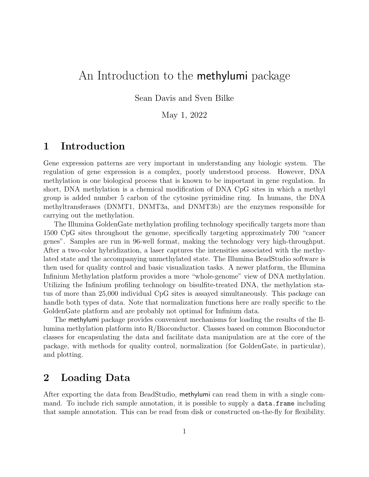# An Introduction to the **methylumi** package

Sean Davis and Sven Bilke

May 1, 2022

#### 1 Introduction

Gene expression patterns are very important in understanding any biologic system. The regulation of gene expression is a complex, poorly understood process. However, DNA methylation is one biological process that is known to be important in gene regulation. In short, DNA methylation is a chemical modification of DNA CpG sites in which a methyl group is added number 5 carbon of the cytosine pyrimidine ring. In humans, the DNA methyltransferases (DNMT1, DNMT3a, and DNMT3b) are the enzymes responsible for carrying out the methylation.

The Illumina GoldenGate methylation profiling technology specifically targets more than 1500 CpG sites throughout the genome, specifically targeting approximately 700 "cancer genes". Samples are run in 96-well format, making the technology very high-throughput. After a two-color hybridization, a laser captures the intensities associated with the methylated state and the accompanying unmethylated state. The Illumina BeadStudio software is then used for quality control and basic visualization tasks. A newer platform, the Illumina Infinium Methylation platform provides a more "whole-genome" view of DNA methylation. Utilizing the Infinium profiling technology on bisulfite-treated DNA, the methylation status of more than 25,000 individual CpG sites is assayed simultaneously. This package can handle both types of data. Note that normalization functions here are really specific to the GoldenGate platform and are probably not optimal for Infinium data.

The methylumi package provides convenient mechanisms for loading the results of the Illumina methylation platform into R/Bioconductor. Classes based on common Bioconductor classes for encapsulating the data and facilitate data manipulation are at the core of the package, with methods for quality control, normalization (for GoldenGate, in particular), and plotting.

## 2 Loading Data

After exporting the data from BeadStudio, methylumi can read them in with a single command. To include rich sample annotation, it is possible to supply a data.frame including that sample annotation. This can be read from disk or constructed on-the-fly for flexibility.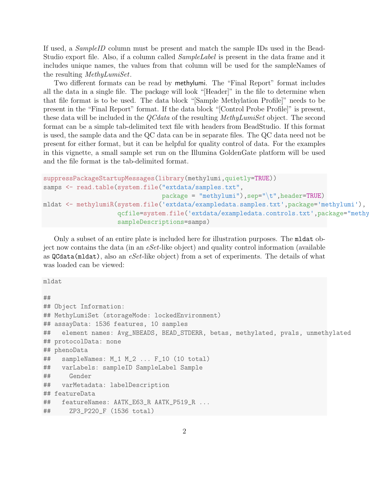If used, a SampleID column must be present and match the sample IDs used in the Bead-Studio export file. Also, if a column called *SampleLabel* is present in the data frame and it includes unique names, the values from that column will be used for the sampleNames of the resulting MethyLumiSet.

Two different formats can be read by methylumi. The "Final Report" format includes all the data in a single file. The package will look "[Header]" in the file to determine when that file format is to be used. The data block "[Sample Methylation Profile]" needs to be present in the "Final Report" format. If the data block "[Control Probe Profile]" is present, these data will be included in the *QCdata* of the resulting *MethyLumiSet* object. The second format can be a simple tab-delimited text file with headers from BeadStudio. If this format is used, the sample data and the QC data can be in separate files. The QC data need not be present for either format, but it can be helpful for quality control of data. For the examples in this vignette, a small sample set run on the Illumina GoldenGate platform will be used and the file format is the tab-delimited format.

```
suppressPackageStartupMessages(library(methylumi,quietly=TRUE))
samps <- read.table(system.file("extdata/samples.txt",
                                package = "methylumi"),sep="\t",header=TRUE)
mldat <- methylumiR(system.file('extdata/exampledata.samples.txt',package='methylumi'),
                    qcfile=system.file('extdata/exampledata.controls.txt',package="methy
                    sampleDescriptions=samps)
```
Only a subset of an entire plate is included here for illustration purposes. The mldat object now contains the data (in an eSet-like object) and quality control information (available as  $QCdata(mldat)$ , also an eSet-like object) from a set of experiments. The details of what was loaded can be viewed:

mldat

```
##
## Object Information:
## MethyLumiSet (storageMode: lockedEnvironment)
## assayData: 1536 features, 10 samples
## element names: Avg_NBEADS, BEAD_STDERR, betas, methylated, pvals, unmethylated
## protocolData: none
## phenoData
## sampleNames: M_1 M_2 ... F_10 (10 total)
## varLabels: sampleID SampleLabel Sample
## Gender
## varMetadata: labelDescription
## featureData
## featureNames: AATK_E63_R AATK_P519_R ...
## ZP3_P220_F (1536 total)
```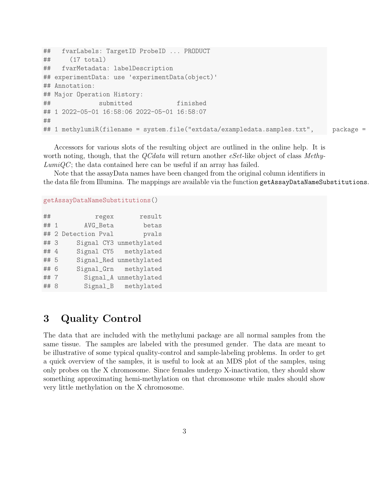```
## fvarLabels: TargetID ProbeID ... PRODUCT
## (17 total)
## fvarMetadata: labelDescription
## experimentData: use 'experimentData(object)'
## Annotation:
## Major Operation History:
## submitted finished
## 1 2022-05-01 16:58:06 2022-05-01 16:58:07
\# \# commanded to the commutation of the commutation of the commutation of the commutation of the commutation of the commutation of the commutation of the commutation of the commutation of the commutation of the commuta
## 1 methylumiR(filename = system.file("extdata/exampledata.samples.txt", package =
```
Accessors for various slots of the resulting object are outlined in the online help. It is worth noting, though, that the *QCdata* will return another *eSet*-like object of class Methy- $LumiQC$ ; the data contained here can be useful if an array has failed.

Note that the assayData names have been changed from the original column identifiers in the data file from Illumina. The mappings are available via the function getAssayDataNameSubstitutions.

#### getAssayDataNameSubstitutions()

| result                  | regex               | ##   |
|-------------------------|---------------------|------|
| betas                   | AVG_Beta            | ## 1 |
| pvals                   | ## 2 Detection Pval |      |
| Signal CY3 unmethylated |                     | ## 3 |
| Signal CY5 methylated   |                     | ## 4 |
| Signal_Red unmethylated |                     | ## 5 |
| Signal_Grn methylated   |                     | ## 6 |
| Signal_A unmethylated   |                     | ## 7 |
| Signal_B methylated     |                     | ## 8 |

# 3 Quality Control

The data that are included with the methylumi package are all normal samples from the same tissue. The samples are labeled with the presumed gender. The data are meant to be illustrative of some typical quality-control and sample-labeling problems. In order to get a quick overview of the samples, it is useful to look at an MDS plot of the samples, using only probes on the X chromosome. Since females undergo X-inactivation, they should show something approximating hemi-methylation on that chromosome while males should show very little methylation on the X chromosome.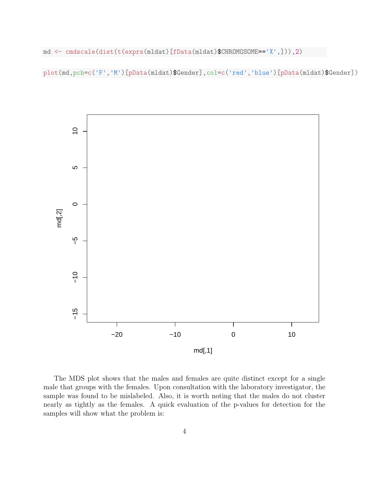md <- cmdscale(dist(t(exprs(mldat)[fData(mldat)\$CHROMOSOME=='X',])),2)

plot(md,pch=c('F','M')[pData(mldat)\$Gender],col=c('red','blue')[pData(mldat)\$Gender])



The MDS plot shows that the males and females are quite distinct except for a single male that groups with the females. Upon consultation with the laboratory investigator, the sample was found to be mislabeled. Also, it is worth noting that the males do not cluster nearly as tightly as the females. A quick evaluation of the p-values for detection for the samples will show what the problem is: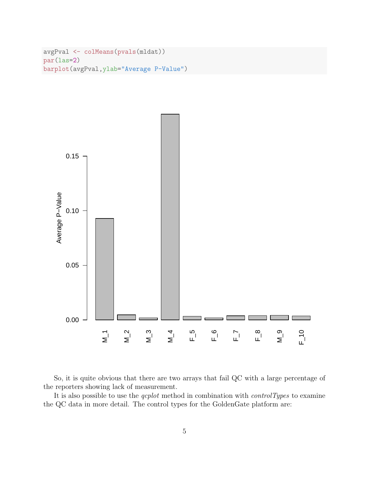```
avgPval <- colMeans(pvals(mldat))
par(las=2)
barplot(avgPval,ylab="Average P-Value")
```


So, it is quite obvious that there are two arrays that fail QC with a large percentage of the reporters showing lack of measurement.

It is also possible to use the  $qcplot$  method in combination with *controlTypes* to examine the QC data in more detail. The control types for the GoldenGate platform are: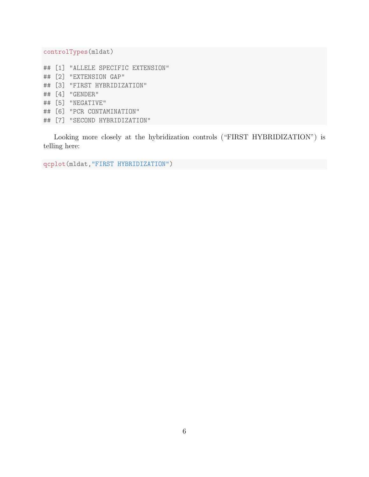controlTypes(mldat)

- ## [1] "ALLELE SPECIFIC EXTENSION"
- ## [2] "EXTENSION GAP"
- ## [3] "FIRST HYBRIDIZATION"
- ## [4] "GENDER"
- ## [5] "NEGATIVE"
- ## [6] "PCR CONTAMINATION"
- ## [7] "SECOND HYBRIDIZATION"

Looking more closely at the hybridization controls ("FIRST HYBRIDIZATION") is telling here:

qcplot(mldat,"FIRST HYBRIDIZATION")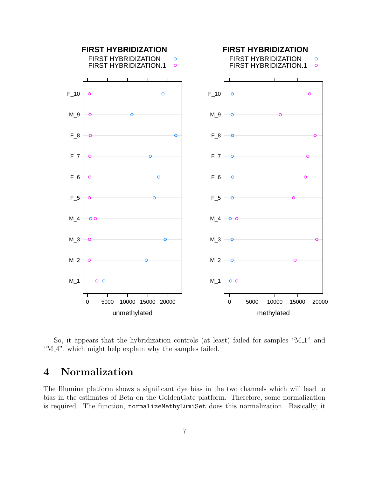

So, it appears that the hybridization controls (at least) failed for samples "M<sub>-1</sub>" and "M<sub>-4</sub>", which might help explain why the samples failed.

# 4 Normalization

The Illumina platform shows a significant dye bias in the two channels which will lead to bias in the estimates of Beta on the GoldenGate platform. Therefore, some normalization is required. The function, normalizeMethyLumiSet does this normalization. Basically, it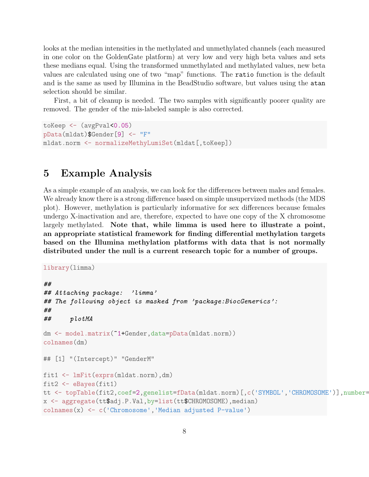looks at the median intensities in the methylated and unmethylated channels (each measured in one color on the GoldenGate platform) at very low and very high beta values and sets these medians equal. Using the transformed unmethylated and methylated values, new beta values are calculated using one of two "map" functions. The ratio function is the default and is the same as used by Illumina in the BeadStudio software, but values using the atan selection should be similar.

First, a bit of cleanup is needed. The two samples with significantly poorer quality are removed. The gender of the mis-labeled sample is also corrected.

```
toKeep <- (avgPval<0.05)
pData(mldat)$Gender[9] <- "F"
mldat.norm <- normalizeMethyLumiSet(mldat[,toKeep])
```
## 5 Example Analysis

As a simple example of an analysis, we can look for the differences between males and females. We already know there is a strong difference based on simple unsupervized methods (the MDS plot). However, methylation is particularly informative for sex differences because females undergo X-inactivation and are, therefore, expected to have one copy of the X chromosome largely methylated. Note that, while limma is used here to illustrate a point, an appropriate statistical framework for finding differential methylation targets based on the Illumina methylation platforms with data that is not normally distributed under the null is a current research topic for a number of groups.

```
library(limma)
##
## Attaching package: 'limma'
## The following object is masked from 'package:BiocGenerics':
##
## plotMA
dm <- model.matrix(~1+Gender,data=pData(mldat.norm))
colnames(dm)
## [1] "(Intercept)" "GenderM"
fit1 <- lmFit(exprs(mldat.norm),dm)
fit2 <- eBayes(fit1)
tt <- topTable(fit2,coef=2,genelist=fData(mldat.norm)[,c('SYMBOL','CHROMOSOME')],number=
x <- aggregate(tt$adj.P.Val,by=list(tt$CHROMOSOME),median)
colnames(x) <- c('Chromosome','Median adjusted P-value')
```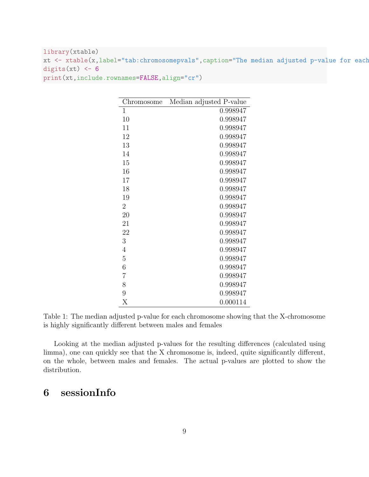library(xtable) xt <- xtable(x,label="tab:chromosomepvals",caption="The median adjusted p-value for each digits(xt)  $<-6$ print(xt,include.rownames=FALSE,align="cr")

| Chromosome        | Median adjusted P-value |
|-------------------|-------------------------|
| 1                 | 0.998947                |
| 10                | 0.998947                |
| 11                | 0.998947                |
| 12                | 0.998947                |
| 13                | 0.998947                |
| 14                | 0.998947                |
| 15                | 0.998947                |
| 16                | 0.998947                |
| 17                | 0.998947                |
| 18                | 0.998947                |
| 19                | 0.998947                |
| $\overline{2}$    | 0.998947                |
| 20                | 0.998947                |
| 21                | 0.998947                |
| 22                | 0.998947                |
| 3                 | 0.998947                |
| 4                 | 0.998947                |
| $\overline{5}$    | 0.998947                |
| 6                 | 0.998947                |
| $\overline{7}$    | 0.998947                |
| 8                 | 0.998947                |
| 9                 | 0.998947                |
| $\rm\overline{X}$ | 0.000114                |

Table 1: The median adjusted p-value for each chromosome showing that the X-chromosome is highly significantly different between males and females

Looking at the median adjusted p-values for the resulting differences (calculated using limma), one can quickly see that the X chromosome is, indeed, quite significantly different, on the whole, between males and females. The actual p-values are plotted to show the distribution.

# 6 sessionInfo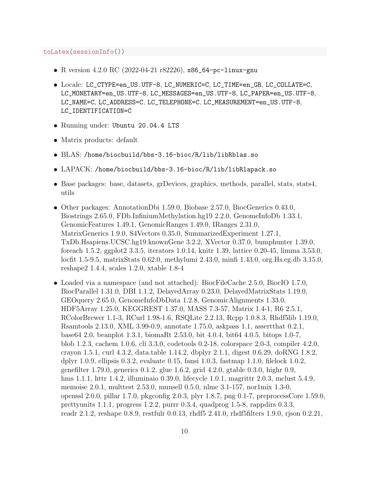toLatex(sessionInfo())

- R version 4.2.0 RC (2022-04-21 r82226), x86\_64-pc-linux-gnu
- Locale: LC\_CTYPE=en\_US.UTF-8, LC\_NUMERIC=C, LC\_TIME=en\_GB, LC\_COLLATE=C, LC\_MONETARY=en\_US.UTF-8, LC\_MESSAGES=en\_US.UTF-8, LC\_PAPER=en\_US.UTF-8, LC\_NAME=C, LC\_ADDRESS=C, LC\_TELEPHONE=C, LC\_MEASUREMENT=en\_US.UTF-8, LC\_IDENTIFICATION=C
- Running under: Ubuntu 20.04.4 LTS
- Matrix products: default
- BLAS: /home/biocbuild/bbs-3.16-bioc/R/lib/libRblas.so
- LAPACK: /home/biocbuild/bbs-3.16-bioc/R/lib/libRlapack.so
- Base packages: base, datasets, grDevices, graphics, methods, parallel, stats, stats4, utils
- Other packages: AnnotationDbi 1.59.0, Biobase 2.57.0, BiocGenerics 0.43.0, Biostrings 2.65.0, FDb.InfiniumMethylation.hg19 2.2.0, GenomeInfoDb 1.33.1, GenomicFeatures 1.49.1, GenomicRanges 1.49.0, IRanges 2.31.0, MatrixGenerics 1.9.0, S4Vectors 0.35.0, SummarizedExperiment 1.27.1, TxDb.Hsapiens.UCSC.hg19.knownGene 3.2.2, XVector 0.37.0, bumphunter 1.39.0, foreach 1.5.2, ggplot2 3.3.5, iterators 1.0.14, knitr 1.39, lattice 0.20-45, limma 3.53.0, locfit 1.5-9.5, matrixStats 0.62.0, methylumi 2.43.0, minfi 1.43.0, org.Hs.eg.db 3.15.0, reshape2 1.4.4, scales 1.2.0, xtable 1.8-4
- Loaded via a namespace (and not attached): BiocFileCache 2.5.0, BiocIO 1.7.0, BiocParallel 1.31.0, DBI 1.1.2, DelayedArray 0.23.0, DelayedMatrixStats 1.19.0, GEOquery 2.65.0, GenomeInfoDbData 1.2.8, GenomicAlignments 1.33.0, HDF5Array 1.25.0, KEGGREST 1.37.0, MASS 7.3-57, Matrix 1.4-1, R6 2.5.1, RColorBrewer 1.1-3, RCurl 1.98-1.6, RSQLite 2.2.13, Rcpp 1.0.8.3, Rhdf5lib 1.19.0, Rsamtools 2.13.0, XML 3.99-0.9, annotate 1.75.0, askpass 1.1, assertthat 0.2.1, base64 2.0, beanplot 1.3.1, biomaRt 2.53.0, bit 4.0.4, bit64 4.0.5, bitops 1.0-7, blob 1.2.3, cachem 1.0.6, cli 3.3.0, codetools 0.2-18, colorspace 2.0-3, compiler 4.2.0, crayon 1.5.1, curl 4.3.2, data.table 1.14.2, dbplyr 2.1.1, digest 0.6.29, doRNG 1.8.2, dplyr 1.0.9, ellipsis 0.3.2, evaluate 0.15, fansi 1.0.3, fastmap 1.1.0, filelock 1.0.2, genefilter 1.79.0, generics 0.1.2, glue 1.6.2, grid 4.2.0, gtable 0.3.0, highr 0.9, hms 1.1.1, httr 1.4.2, illuminaio 0.39.0, lifecycle 1.0.1, magrittr 2.0.3, mclust 5.4.9, memoise 2.0.1, multtest 2.53.0, munsell 0.5.0, nlme 3.1-157, nor1mix 1.3-0, openssl 2.0.0, pillar 1.7.0, pkgconfig 2.0.3, plyr 1.8.7, png 0.1-7, preprocessCore 1.59.0, prettyunits 1.1.1, progress 1.2.2, purrr 0.3.4, quadprog 1.5-8, rappdirs 0.3.3, readr 2.1.2, reshape 0.8.9, restfulr 0.0.13, rhdf5 2.41.0, rhdf5filters 1.9.0, rjson 0.2.21,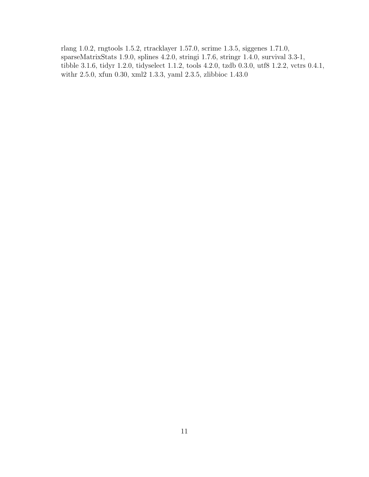rlang 1.0.2, rngtools 1.5.2, rtracklayer 1.57.0, scrime 1.3.5, siggenes 1.71.0, sparseMatrixStats 1.9.0, splines 4.2.0, stringi 1.7.6, stringr 1.4.0, survival 3.3-1, tibble 3.1.6, tidyr 1.2.0, tidyselect 1.1.2, tools 4.2.0, tzdb 0.3.0, utf8 1.2.2, vctrs 0.4.1, withr 2.5.0, xfun 0.30, xml2 1.3.3, yaml 2.3.5, zlibbioc 1.43.0